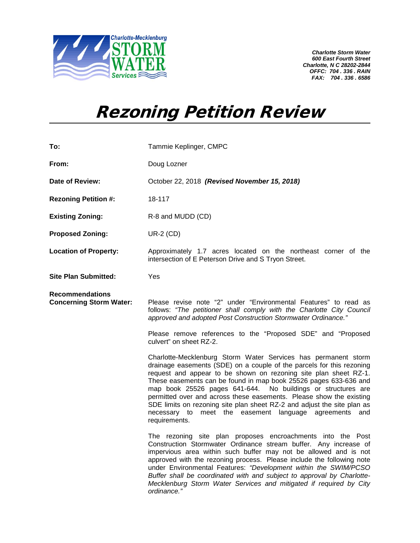

*Charlotte Storm Water 600 East Fourth Street Charlotte, N C 28202-2844 OFFC: 704 . 336 . RAIN FAX: 704 . 336 . 6586*

## Rezoning Petition Review

| To:                                                      | Tammie Keplinger, CMPC                                                                                                                                                                                                                                                                                                                                                                                                                                                                                                                                                             |
|----------------------------------------------------------|------------------------------------------------------------------------------------------------------------------------------------------------------------------------------------------------------------------------------------------------------------------------------------------------------------------------------------------------------------------------------------------------------------------------------------------------------------------------------------------------------------------------------------------------------------------------------------|
| From:                                                    | Doug Lozner                                                                                                                                                                                                                                                                                                                                                                                                                                                                                                                                                                        |
| Date of Review:                                          | October 22, 2018 (Revised November 15, 2018)                                                                                                                                                                                                                                                                                                                                                                                                                                                                                                                                       |
| <b>Rezoning Petition #:</b>                              | 18-117                                                                                                                                                                                                                                                                                                                                                                                                                                                                                                                                                                             |
| <b>Existing Zoning:</b>                                  | R-8 and MUDD (CD)                                                                                                                                                                                                                                                                                                                                                                                                                                                                                                                                                                  |
| <b>Proposed Zoning:</b>                                  | <b>UR-2 (CD)</b>                                                                                                                                                                                                                                                                                                                                                                                                                                                                                                                                                                   |
| <b>Location of Property:</b>                             | Approximately 1.7 acres located on the northeast corner of the<br>intersection of E Peterson Drive and S Tryon Street.                                                                                                                                                                                                                                                                                                                                                                                                                                                             |
| <b>Site Plan Submitted:</b>                              | Yes                                                                                                                                                                                                                                                                                                                                                                                                                                                                                                                                                                                |
| <b>Recommendations</b><br><b>Concerning Storm Water:</b> | Please revise note "2" under "Environmental Features" to read as<br>follows: "The petitioner shall comply with the Charlotte City Council<br>approved and adopted Post Construction Stormwater Ordinance."                                                                                                                                                                                                                                                                                                                                                                         |
|                                                          | Please remove references to the "Proposed SDE" and "Proposed<br>culvert" on sheet RZ-2.                                                                                                                                                                                                                                                                                                                                                                                                                                                                                            |
|                                                          | Charlotte-Mecklenburg Storm Water Services has permanent storm<br>drainage easements (SDE) on a couple of the parcels for this rezoning<br>request and appear to be shown on rezoning site plan sheet RZ-1.<br>These easements can be found in map book 25526 pages 633-636 and<br>map book 25526 pages 641-644. No buildings or structures are<br>permitted over and across these easements. Please show the existing<br>SDE limits on rezoning site plan sheet RZ-2 and adjust the site plan as<br>meet the easement language agreements<br>necessary to<br>and<br>requirements. |
|                                                          | The rezoning site plan proposes encroachments into the Post<br>Construction Stormwater Ordinance stream buffer. Any increase of<br>impervious area within such buffer may not be allowed and is not<br>approved with the rezoning process. Please include the following note<br>under Environmental Features: "Development within the SWIM/PCSO<br>Buffer shall be coordinated with and subject to approval by Charlotte-<br>Mecklenburg Storm Water Services and mitigated if required by City<br>ordinance."                                                                     |